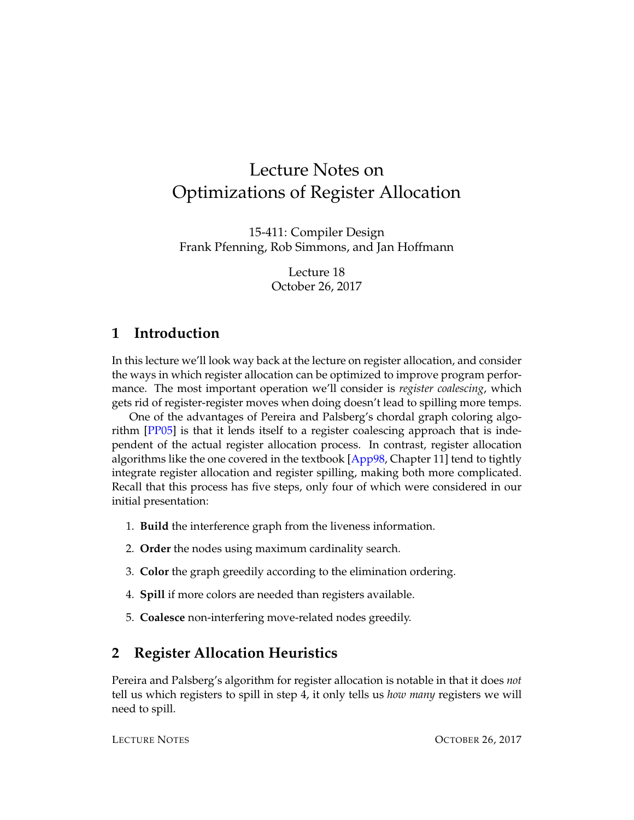# Lecture Notes on Optimizations of Register Allocation

15-411: Compiler Design Frank Pfenning, Rob Simmons, and Jan Hoffmann

> Lecture 18 October 26, 2017

### **1 Introduction**

In this lecture we'll look way back at the lecture on register allocation, and consider the ways in which register allocation can be optimized to improve program performance. The most important operation we'll consider is *register coalescing*, which gets rid of register-register moves when doing doesn't lead to spilling more temps.

One of the advantages of Pereira and Palsberg's chordal graph coloring algorithm [\[PP05\]](#page-6-0) is that it lends itself to a register coalescing approach that is independent of the actual register allocation process. In contrast, register allocation algorithms like the one covered in the textbook  $[App98, Chapter 11]$  $[App98, Chapter 11]$  tend to tightly integrate register allocation and register spilling, making both more complicated. Recall that this process has five steps, only four of which were considered in our initial presentation:

- 1. **Build** the interference graph from the liveness information.
- 2. **Order** the nodes using maximum cardinality search.
- 3. **Color** the graph greedily according to the elimination ordering.
- 4. **Spill** if more colors are needed than registers available.
- 5. **Coalesce** non-interfering move-related nodes greedily.

## **2 Register Allocation Heuristics**

Pereira and Palsberg's algorithm for register allocation is notable in that it does *not* tell us which registers to spill in step 4, it only tells us *how many* registers we will need to spill.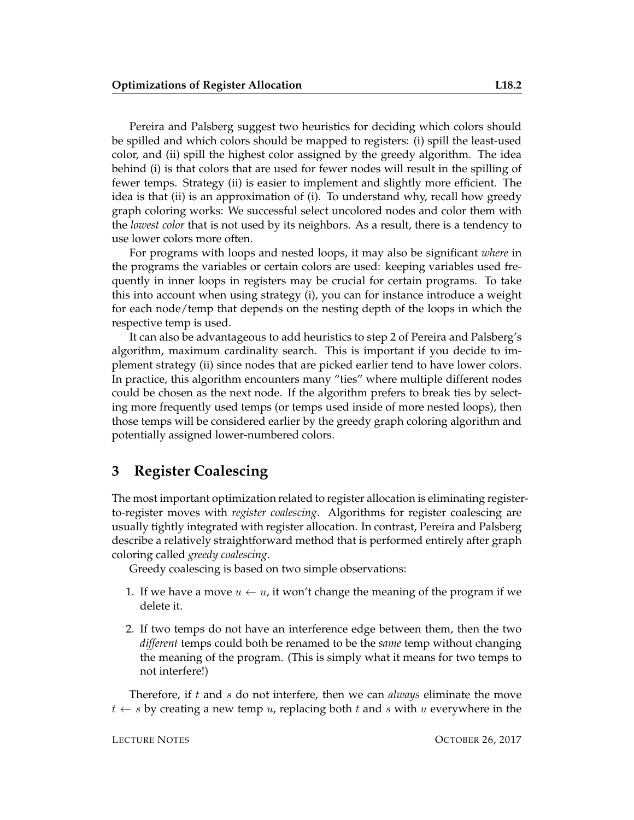Pereira and Palsberg suggest two heuristics for deciding which colors should be spilled and which colors should be mapped to registers: (i) spill the least-used color, and (ii) spill the highest color assigned by the greedy algorithm. The idea behind (i) is that colors that are used for fewer nodes will result in the spilling of fewer temps. Strategy (ii) is easier to implement and slightly more efficient. The idea is that (ii) is an approximation of (i). To understand why, recall how greedy graph coloring works: We successful select uncolored nodes and color them with the *lowest color* that is not used by its neighbors. As a result, there is a tendency to use lower colors more often.

For programs with loops and nested loops, it may also be significant *where* in the programs the variables or certain colors are used: keeping variables used frequently in inner loops in registers may be crucial for certain programs. To take this into account when using strategy (i), you can for instance introduce a weight for each node/temp that depends on the nesting depth of the loops in which the respective temp is used.

It can also be advantageous to add heuristics to step 2 of Pereira and Palsberg's algorithm, maximum cardinality search. This is important if you decide to implement strategy (ii) since nodes that are picked earlier tend to have lower colors. In practice, this algorithm encounters many "ties" where multiple different nodes could be chosen as the next node. If the algorithm prefers to break ties by selecting more frequently used temps (or temps used inside of more nested loops), then those temps will be considered earlier by the greedy graph coloring algorithm and potentially assigned lower-numbered colors.

#### **3 Register Coalescing**

The most important optimization related to register allocation is eliminating registerto-register moves with *register coalescing*. Algorithms for register coalescing are usually tightly integrated with register allocation. In contrast, Pereira and Palsberg describe a relatively straightforward method that is performed entirely after graph coloring called *greedy coalescing*.

Greedy coalescing is based on two simple observations:

- 1. If we have a move  $u \leftarrow u$ , it won't change the meaning of the program if we delete it.
- 2. If two temps do not have an interference edge between them, then the two *different* temps could both be renamed to be the *same* temp without changing the meaning of the program. (This is simply what it means for two temps to not interfere!)

Therefore, if t and s do not interfere, then we can *always* eliminate the move  $t \leftarrow s$  by creating a new temp u, replacing both t and s with u everywhere in the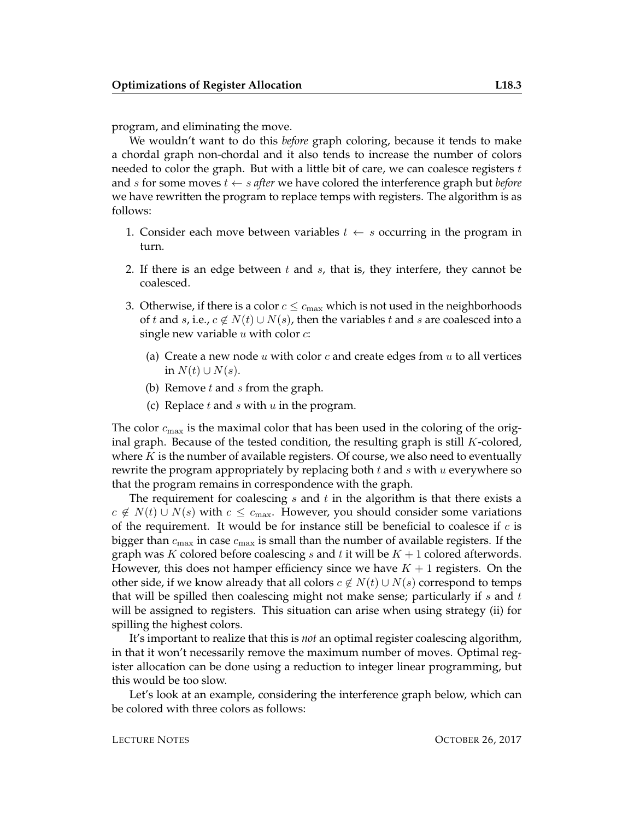program, and eliminating the move.

We wouldn't want to do this *before* graph coloring, because it tends to make a chordal graph non-chordal and it also tends to increase the number of colors needed to color the graph. But with a little bit of care, we can coalesce registers  $t$ and s for some moves t ← s *after* we have colored the interference graph but *before* we have rewritten the program to replace temps with registers. The algorithm is as follows:

- 1. Consider each move between variables  $t \leftarrow s$  occurring in the program in turn.
- 2. If there is an edge between  $t$  and  $s$ , that is, they interfere, they cannot be coalesced.
- 3. Otherwise, if there is a color  $c \leq c_{\text{max}}$  which is not used in the neighborhoods of t and s, i.e.,  $c \notin N(t) \cup N(s)$ , then the variables t and s are coalesced into a single new variable  $u$  with color  $c$ :
	- (a) Create a new node u with color c and create edges from u to all vertices in  $N(t) \cup N(s)$ .
	- (b) Remove  $t$  and  $s$  from the graph.
	- (c) Replace  $t$  and  $s$  with  $u$  in the program.

The color  $c_{\text{max}}$  is the maximal color that has been used in the coloring of the original graph. Because of the tested condition, the resulting graph is still  $K$ -colored, where  $K$  is the number of available registers. Of course, we also need to eventually rewrite the program appropriately by replacing both  $t$  and  $s$  with  $u$  everywhere so that the program remains in correspondence with the graph.

The requirement for coalescing  $s$  and  $t$  in the algorithm is that there exists a  $c \notin N(t) \cup N(s)$  with  $c \leq c_{\text{max}}$ . However, you should consider some variations of the requirement. It would be for instance still be beneficial to coalesce if  $c$  is bigger than  $c_{\text{max}}$  in case  $c_{\text{max}}$  is small than the number of available registers. If the graph was K colored before coalescing s and t it will be  $K + 1$  colored afterwords. However, this does not hamper efficiency since we have  $K + 1$  registers. On the other side, if we know already that all colors  $c \notin N(t) \cup N(s)$  correspond to temps that will be spilled then coalescing might not make sense; particularly if  $s$  and  $t$ will be assigned to registers. This situation can arise when using strategy (ii) for spilling the highest colors.

It's important to realize that this is *not* an optimal register coalescing algorithm, in that it won't necessarily remove the maximum number of moves. Optimal register allocation can be done using a reduction to integer linear programming, but this would be too slow.

Let's look at an example, considering the interference graph below, which can be colored with three colors as follows: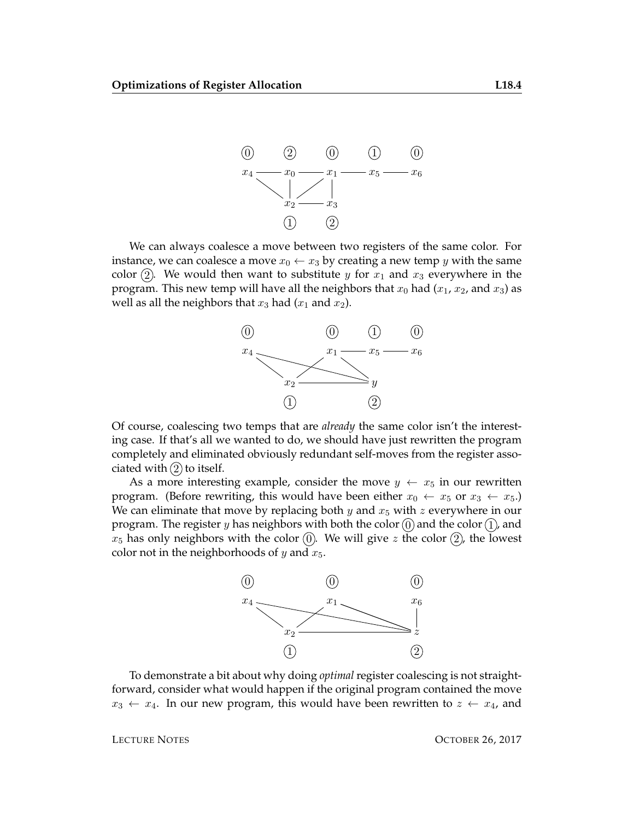

We can always coalesce a move between two registers of the same color. For instance, we can coalesce a move  $x_0 \leftarrow x_3$  by creating a new temp y with the same color (2). We would then want to substitute y for  $x_1$  and  $x_3$  everywhere in the program. This new temp will have all the neighbors that  $x_0$  had  $(x_1, x_2, x_3)$  as well as all the neighbors that  $x_3$  had  $(x_1$  and  $x_2$ ).



Of course, coalescing two temps that are *already* the same color isn't the interesting case. If that's all we wanted to do, we should have just rewritten the program completely and eliminated obviously redundant self-moves from the register associated with  $(2)$  to itself.

As a more interesting example, consider the move  $y \leftarrow x_5$  in our rewritten program. (Before rewriting, this would have been either  $x_0 \leftarrow x_5$  or  $x_3 \leftarrow x_5$ .) We can eliminate that move by replacing both y and  $x_5$  with z everywhere in our program. The register y has neighbors with both the color  $(0)$  and the color  $(1)$ , and  $x_5$  has only neighbors with the color  $(0)$ . We will give z the color  $(2)$ , the lowest color not in the neighborhoods of  $y$  and  $x_5$ .



To demonstrate a bit about why doing *optimal* register coalescing is not straightforward, consider what would happen if the original program contained the move  $x_3 \leftarrow x_4$ . In our new program, this would have been rewritten to  $z \leftarrow x_4$ , and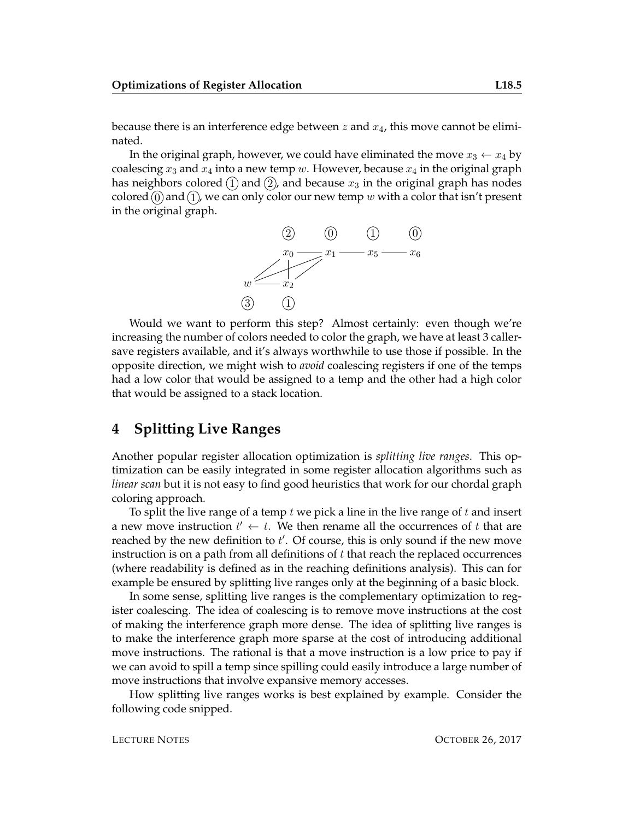because there is an interference edge between z and  $x_4$ , this move cannot be eliminated.

In the original graph, however, we could have eliminated the move  $x_3 \leftarrow x_4$  by coalescing  $x_3$  and  $x_4$  into a new temp w. However, because  $x_4$  in the original graph has neighbors colored  $(1)$  and  $(2)$ , and because  $x_3$  in the original graph has nodes colored  $(0)$  and  $(1)$ , we can only color our new temp w with a color that isn't present in the original graph.



Would we want to perform this step? Almost certainly: even though we're increasing the number of colors needed to color the graph, we have at least 3 callersave registers available, and it's always worthwhile to use those if possible. In the opposite direction, we might wish to *avoid* coalescing registers if one of the temps had a low color that would be assigned to a temp and the other had a high color that would be assigned to a stack location.

#### **4 Splitting Live Ranges**

Another popular register allocation optimization is *splitting live ranges*. This optimization can be easily integrated in some register allocation algorithms such as *linear scan* but it is not easy to find good heuristics that work for our chordal graph coloring approach.

To split the live range of a temp  $t$  we pick a line in the live range of  $t$  and insert a new move instruction  $t' \leftarrow t$ . We then rename all the occurrences of t that are reached by the new definition to  $t'$ . Of course, this is only sound if the new move instruction is on a path from all definitions of  $t$  that reach the replaced occurrences (where readability is defined as in the reaching definitions analysis). This can for example be ensured by splitting live ranges only at the beginning of a basic block.

In some sense, splitting live ranges is the complementary optimization to register coalescing. The idea of coalescing is to remove move instructions at the cost of making the interference graph more dense. The idea of splitting live ranges is to make the interference graph more sparse at the cost of introducing additional move instructions. The rational is that a move instruction is a low price to pay if we can avoid to spill a temp since spilling could easily introduce a large number of move instructions that involve expansive memory accesses.

How splitting live ranges works is best explained by example. Consider the following code snipped.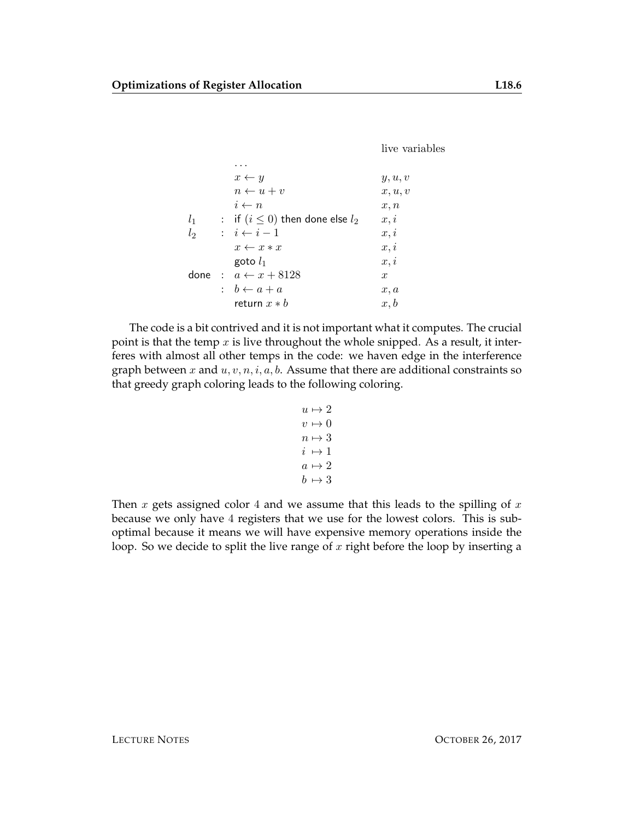live variables

|       | $x \leftarrow y$                       | y, u, v          |
|-------|----------------------------------------|------------------|
|       | $n \leftarrow u + v$                   | x, u, v          |
|       | $i \leftarrow n$                       | x, n             |
| $l_1$ | : if $(i \leq 0)$ then done else $l_2$ | x, i             |
| $l_2$ | $\colon i \leftarrow i-1$              | x, i             |
|       | $x \leftarrow x * x$                   | x, i             |
|       | goto $l_1$                             | x, i             |
|       | done: $a \leftarrow x + 8128$          | $\boldsymbol{x}$ |
|       | : $b \leftarrow a + a$                 | x, a             |
|       | return $x * b$                         | x, b             |

The code is a bit contrived and it is not important what it computes. The crucial point is that the temp  $x$  is live throughout the whole snipped. As a result, it interferes with almost all other temps in the code: we haven edge in the interference graph between x and  $u, v, n, i, a, b$ . Assume that there are additional constraints so that greedy graph coloring leads to the following coloring.

```
u \mapsto 2v \mapsto 0n \mapsto 3i \mapsto 1a \mapsto 2b \mapsto 3
```
Then x gets assigned color 4 and we assume that this leads to the spilling of  $x$ because we only have 4 registers that we use for the lowest colors. This is suboptimal because it means we will have expensive memory operations inside the loop. So we decide to split the live range of  $x$  right before the loop by inserting a